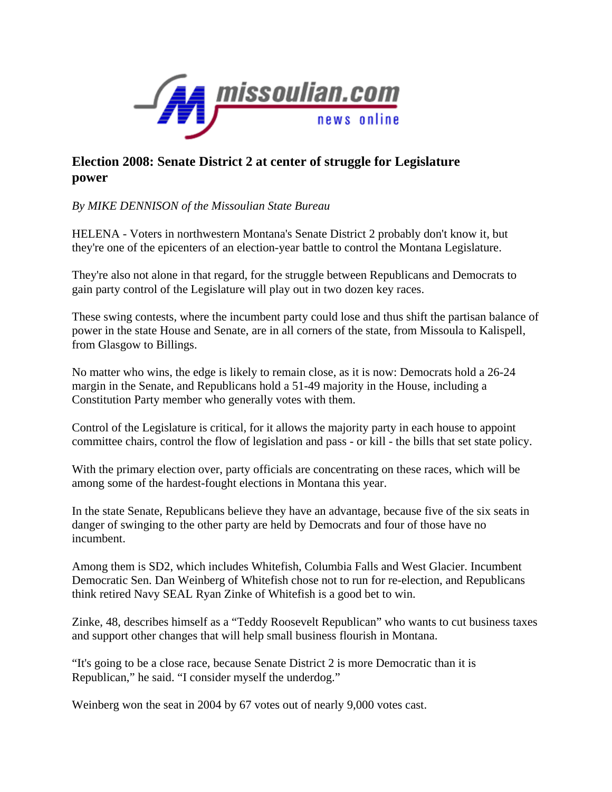

## **Election 2008: Senate District 2 at center of struggle for Legislature power**

## *By MIKE DENNISON of the Missoulian State Bureau*

HELENA - Voters in northwestern Montana's Senate District 2 probably don't know it, but they're one of the epicenters of an election-year battle to control the Montana Legislature.

They're also not alone in that regard, for the struggle between Republicans and Democrats to gain party control of the Legislature will play out in two dozen key races.

These swing contests, where the incumbent party could lose and thus shift the partisan balance of power in the state House and Senate, are in all corners of the state, from Missoula to Kalispell, from Glasgow to Billings.

No matter who wins, the edge is likely to remain close, as it is now: Democrats hold a 26-24 margin in the Senate, and Republicans hold a 51-49 majority in the House, including a Constitution Party member who generally votes with them.

Control of the Legislature is critical, for it allows the majority party in each house to appoint committee chairs, control the flow of legislation and pass - or kill - the bills that set state policy.

With the primary election over, party officials are concentrating on these races, which will be among some of the hardest-fought elections in Montana this year.

In the state Senate, Republicans believe they have an advantage, because five of the six seats in danger of swinging to the other party are held by Democrats and four of those have no incumbent.

Among them is SD2, which includes Whitefish, Columbia Falls and West Glacier. Incumbent Democratic Sen. Dan Weinberg of Whitefish chose not to run for re-election, and Republicans think retired Navy SEAL Ryan Zinke of Whitefish is a good bet to win.

Zinke, 48, describes himself as a "Teddy Roosevelt Republican" who wants to cut business taxes and support other changes that will help small business flourish in Montana.

"It's going to be a close race, because Senate District 2 is more Democratic than it is Republican," he said. "I consider myself the underdog."

Weinberg won the seat in 2004 by 67 votes out of nearly 9,000 votes cast.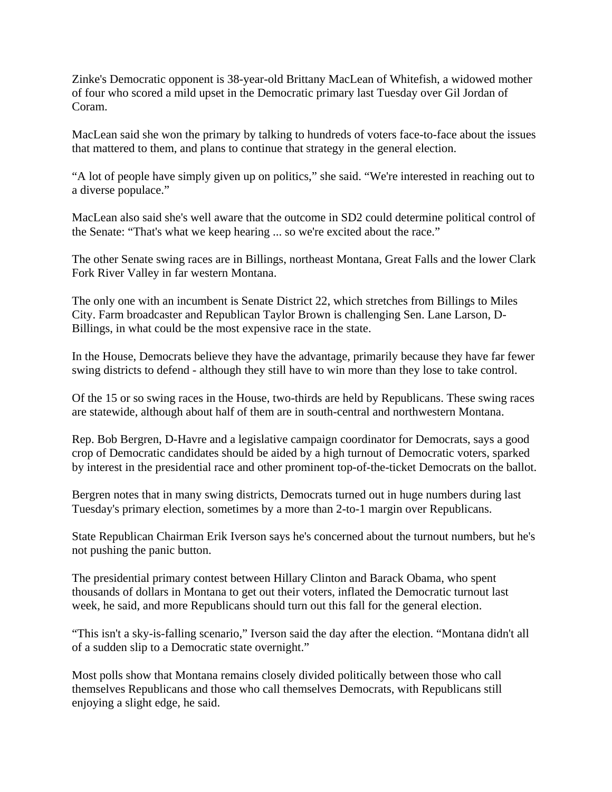Zinke's Democratic opponent is 38-year-old Brittany MacLean of Whitefish, a widowed mother of four who scored a mild upset in the Democratic primary last Tuesday over Gil Jordan of Coram.

MacLean said she won the primary by talking to hundreds of voters face-to-face about the issues that mattered to them, and plans to continue that strategy in the general election.

"A lot of people have simply given up on politics," she said. "We're interested in reaching out to a diverse populace."

MacLean also said she's well aware that the outcome in SD2 could determine political control of the Senate: "That's what we keep hearing ... so we're excited about the race."

The other Senate swing races are in Billings, northeast Montana, Great Falls and the lower Clark Fork River Valley in far western Montana.

The only one with an incumbent is Senate District 22, which stretches from Billings to Miles City. Farm broadcaster and Republican Taylor Brown is challenging Sen. Lane Larson, D-Billings, in what could be the most expensive race in the state.

In the House, Democrats believe they have the advantage, primarily because they have far fewer swing districts to defend - although they still have to win more than they lose to take control.

Of the 15 or so swing races in the House, two-thirds are held by Republicans. These swing races are statewide, although about half of them are in south-central and northwestern Montana.

Rep. Bob Bergren, D-Havre and a legislative campaign coordinator for Democrats, says a good crop of Democratic candidates should be aided by a high turnout of Democratic voters, sparked by interest in the presidential race and other prominent top-of-the-ticket Democrats on the ballot.

Bergren notes that in many swing districts, Democrats turned out in huge numbers during last Tuesday's primary election, sometimes by a more than 2-to-1 margin over Republicans.

State Republican Chairman Erik Iverson says he's concerned about the turnout numbers, but he's not pushing the panic button.

The presidential primary contest between Hillary Clinton and Barack Obama, who spent thousands of dollars in Montana to get out their voters, inflated the Democratic turnout last week, he said, and more Republicans should turn out this fall for the general election.

"This isn't a sky-is-falling scenario," Iverson said the day after the election. "Montana didn't all of a sudden slip to a Democratic state overnight."

Most polls show that Montana remains closely divided politically between those who call themselves Republicans and those who call themselves Democrats, with Republicans still enjoying a slight edge, he said.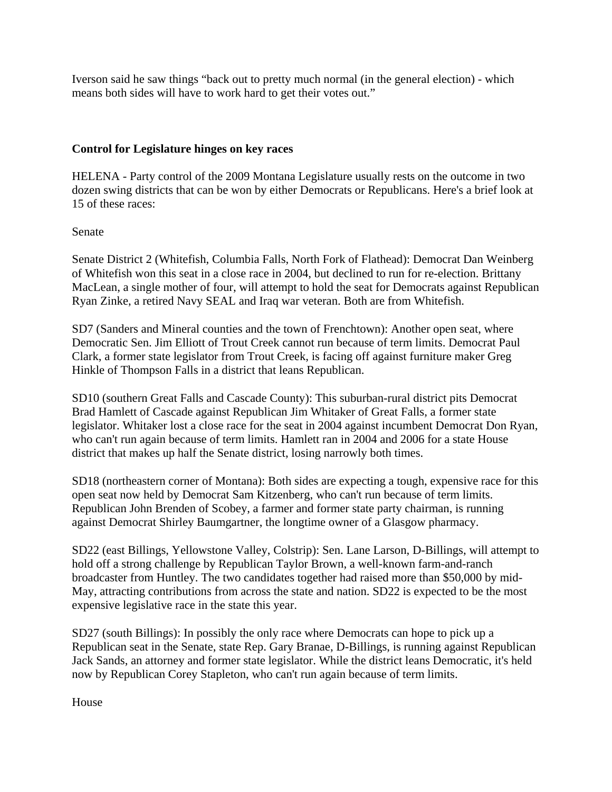Iverson said he saw things "back out to pretty much normal (in the general election) - which means both sides will have to work hard to get their votes out."

## **Control for Legislature hinges on key races**

HELENA - Party control of the 2009 Montana Legislature usually rests on the outcome in two dozen swing districts that can be won by either Democrats or Republicans. Here's a brief look at 15 of these races:

## Senate

Senate District 2 (Whitefish, Columbia Falls, North Fork of Flathead): Democrat Dan Weinberg of Whitefish won this seat in a close race in 2004, but declined to run for re-election. Brittany MacLean, a single mother of four, will attempt to hold the seat for Democrats against Republican Ryan Zinke, a retired Navy SEAL and Iraq war veteran. Both are from Whitefish.

SD7 (Sanders and Mineral counties and the town of Frenchtown): Another open seat, where Democratic Sen. Jim Elliott of Trout Creek cannot run because of term limits. Democrat Paul Clark, a former state legislator from Trout Creek, is facing off against furniture maker Greg Hinkle of Thompson Falls in a district that leans Republican.

SD10 (southern Great Falls and Cascade County): This suburban-rural district pits Democrat Brad Hamlett of Cascade against Republican Jim Whitaker of Great Falls, a former state legislator. Whitaker lost a close race for the seat in 2004 against incumbent Democrat Don Ryan, who can't run again because of term limits. Hamlett ran in 2004 and 2006 for a state House district that makes up half the Senate district, losing narrowly both times.

SD18 (northeastern corner of Montana): Both sides are expecting a tough, expensive race for this open seat now held by Democrat Sam Kitzenberg, who can't run because of term limits. Republican John Brenden of Scobey, a farmer and former state party chairman, is running against Democrat Shirley Baumgartner, the longtime owner of a Glasgow pharmacy.

SD22 (east Billings, Yellowstone Valley, Colstrip): Sen. Lane Larson, D-Billings, will attempt to hold off a strong challenge by Republican Taylor Brown, a well-known farm-and-ranch broadcaster from Huntley. The two candidates together had raised more than \$50,000 by mid-May, attracting contributions from across the state and nation. SD22 is expected to be the most expensive legislative race in the state this year.

SD27 (south Billings): In possibly the only race where Democrats can hope to pick up a Republican seat in the Senate, state Rep. Gary Branae, D-Billings, is running against Republican Jack Sands, an attorney and former state legislator. While the district leans Democratic, it's held now by Republican Corey Stapleton, who can't run again because of term limits.

House